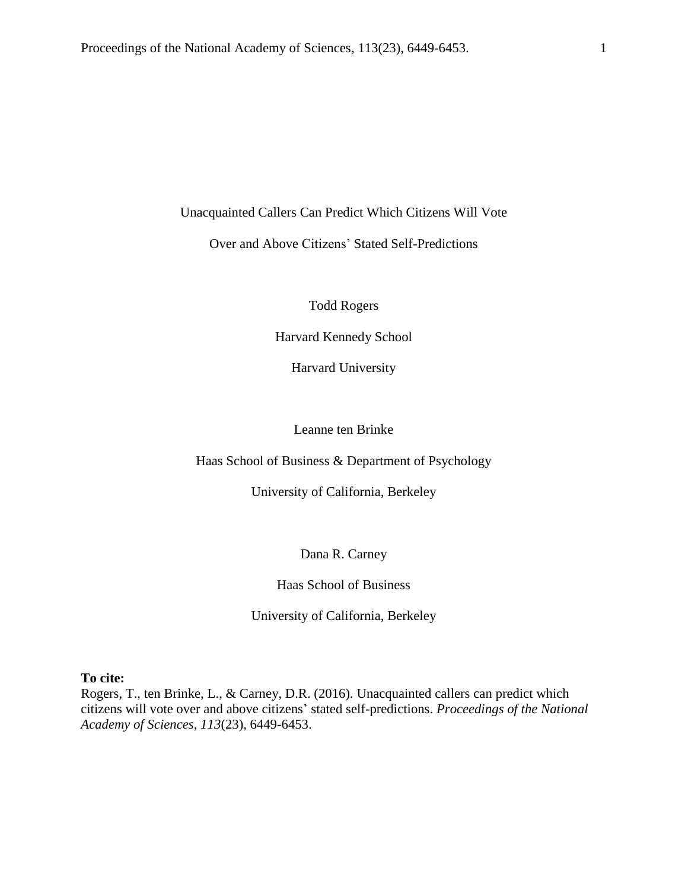Unacquainted Callers Can Predict Which Citizens Will Vote

Over and Above Citizens' Stated Self-Predictions

Todd Rogers

Harvard Kennedy School

Harvard University

Leanne ten Brinke

Haas School of Business & Department of Psychology

University of California, Berkeley

Dana R. Carney

Haas School of Business

University of California, Berkeley

**To cite:**

Rogers, T., ten Brinke, L., & Carney, D.R. (2016). Unacquainted callers can predict which citizens will vote over and above citizens' stated self-predictions. *Proceedings of the National Academy of Sciences*, *113*(23), 6449-6453.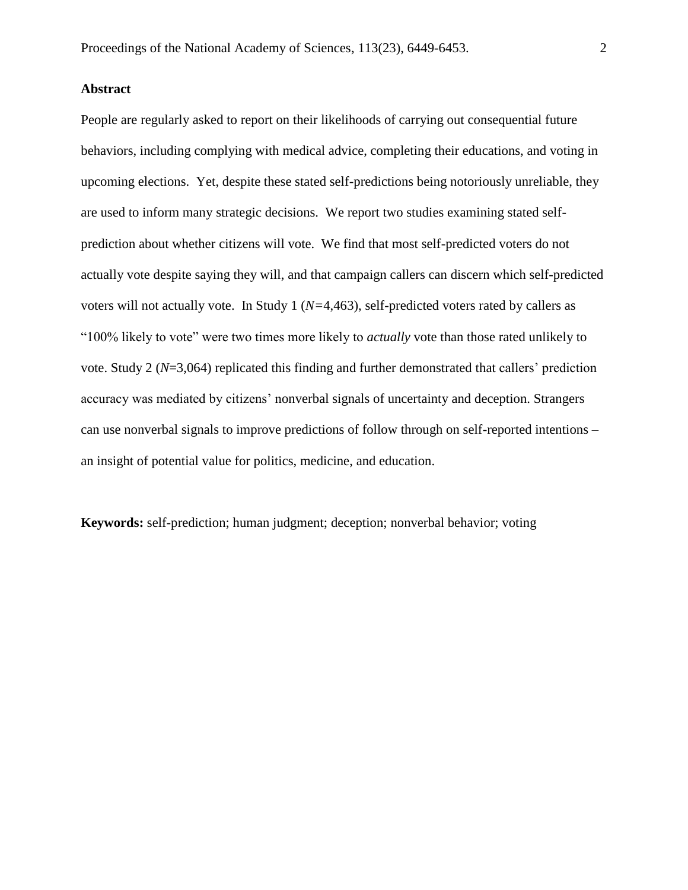# **Abstract**

People are regularly asked to report on their likelihoods of carrying out consequential future behaviors, including complying with medical advice, completing their educations, and voting in upcoming elections. Yet, despite these stated self-predictions being notoriously unreliable, they are used to inform many strategic decisions. We report two studies examining stated selfprediction about whether citizens will vote. We find that most self-predicted voters do not actually vote despite saying they will, and that campaign callers can discern which self-predicted voters will not actually vote. In Study 1 (*N=*4,463), self-predicted voters rated by callers as "100% likely to vote" were two times more likely to *actually* vote than those rated unlikely to vote. Study 2 (*N*=3,064) replicated this finding and further demonstrated that callers' prediction accuracy was mediated by citizens' nonverbal signals of uncertainty and deception. Strangers can use nonverbal signals to improve predictions of follow through on self-reported intentions – an insight of potential value for politics, medicine, and education.

**Keywords:** self-prediction; human judgment; deception; nonverbal behavior; voting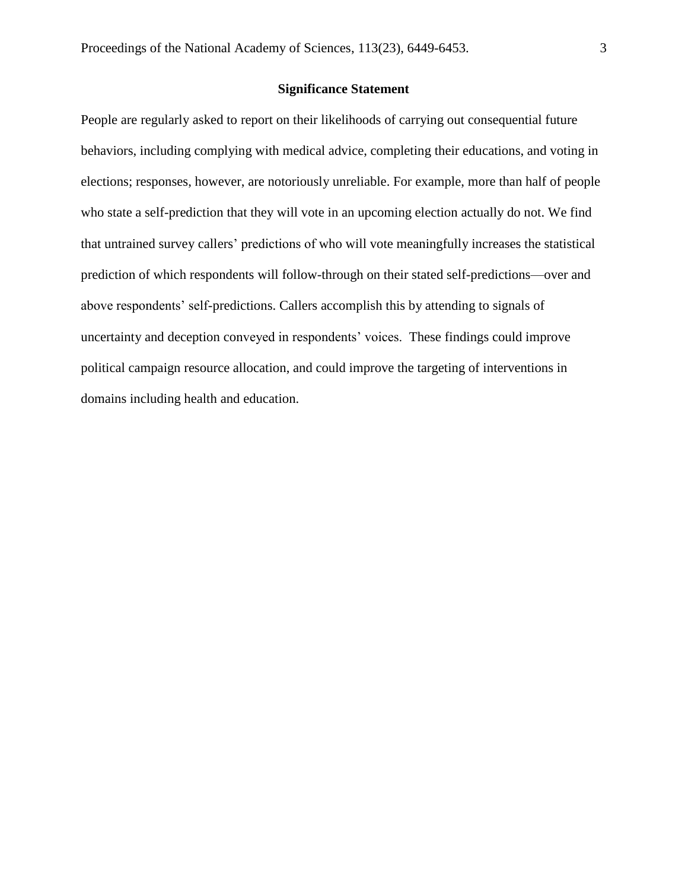# **Significance Statement**

People are regularly asked to report on their likelihoods of carrying out consequential future behaviors, including complying with medical advice, completing their educations, and voting in elections; responses, however, are notoriously unreliable. For example, more than half of people who state a self-prediction that they will vote in an upcoming election actually do not. We find that untrained survey callers' predictions of who will vote meaningfully increases the statistical prediction of which respondents will follow-through on their stated self-predictions—over and above respondents' self-predictions. Callers accomplish this by attending to signals of uncertainty and deception conveyed in respondents' voices. These findings could improve political campaign resource allocation, and could improve the targeting of interventions in domains including health and education.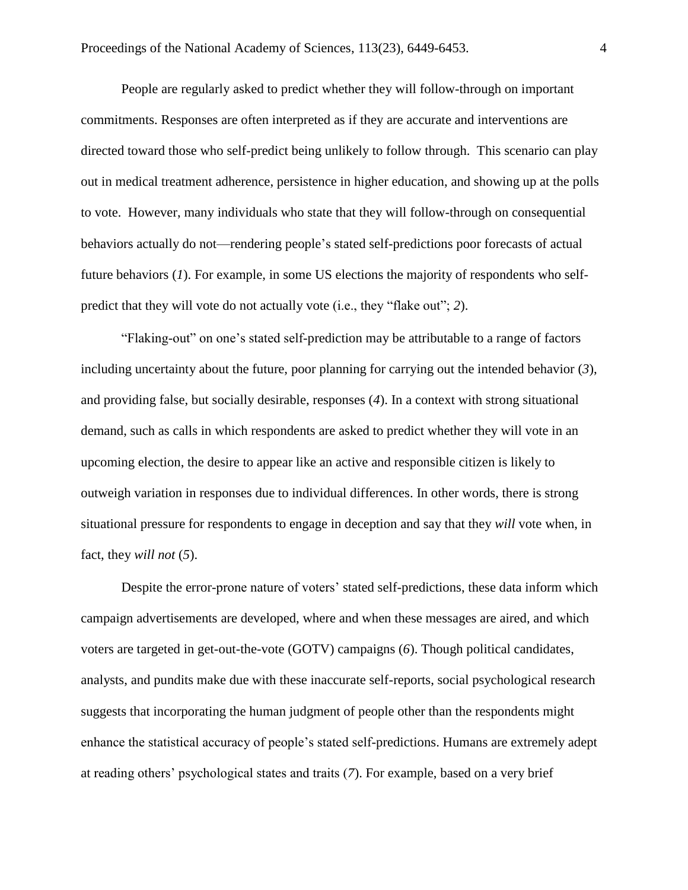People are regularly asked to predict whether they will follow-through on important commitments. Responses are often interpreted as if they are accurate and interventions are directed toward those who self-predict being unlikely to follow through. This scenario can play out in medical treatment adherence, persistence in higher education, and showing up at the polls to vote. However, many individuals who state that they will follow-through on consequential behaviors actually do not—rendering people's stated self-predictions poor forecasts of actual future behaviors (*1*). For example, in some US elections the majority of respondents who selfpredict that they will vote do not actually vote (i.e., they "flake out"; *2*).

"Flaking-out" on one's stated self-prediction may be attributable to a range of factors including uncertainty about the future, poor planning for carrying out the intended behavior (*3*), and providing false, but socially desirable, responses (*4*). In a context with strong situational demand, such as calls in which respondents are asked to predict whether they will vote in an upcoming election, the desire to appear like an active and responsible citizen is likely to outweigh variation in responses due to individual differences. In other words, there is strong situational pressure for respondents to engage in deception and say that they *will* vote when, in fact, they *will not* (*5*).

Despite the error-prone nature of voters' stated self-predictions, these data inform which campaign advertisements are developed, where and when these messages are aired, and which voters are targeted in get-out-the-vote (GOTV) campaigns (*6*). Though political candidates, analysts, and pundits make due with these inaccurate self-reports, social psychological research suggests that incorporating the human judgment of people other than the respondents might enhance the statistical accuracy of people's stated self-predictions. Humans are extremely adept at reading others' psychological states and traits (*7*). For example, based on a very brief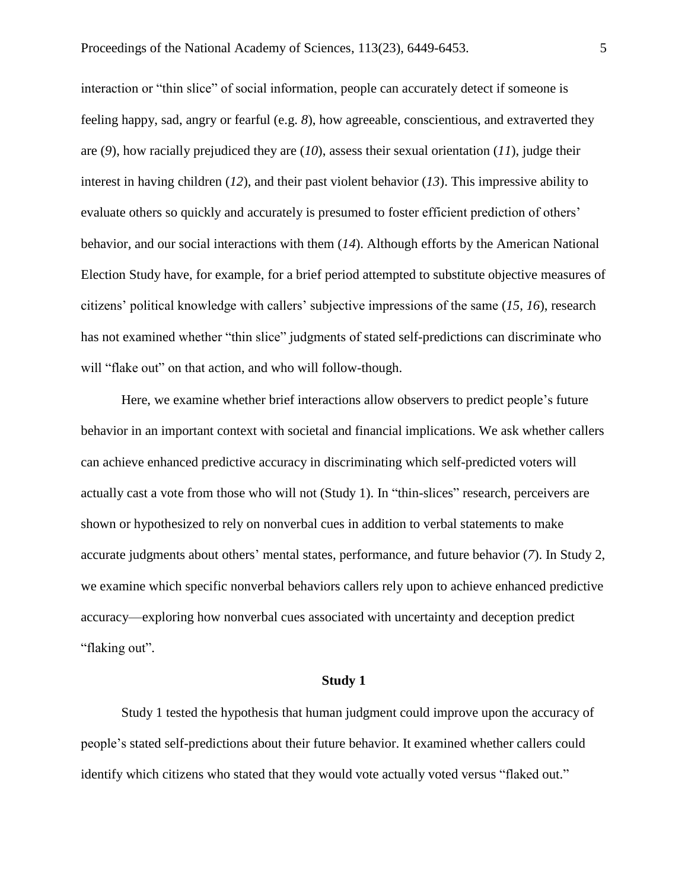interaction or "thin slice" of social information, people can accurately detect if someone is feeling happy, sad, angry or fearful (e.g. *8*), how agreeable, conscientious, and extraverted they are (*9*), how racially prejudiced they are (*10*), assess their sexual orientation (*11*), judge their interest in having children (*12*), and their past violent behavior (*13*). This impressive ability to evaluate others so quickly and accurately is presumed to foster efficient prediction of others' behavior, and our social interactions with them (*14*). Although efforts by the American National Election Study have, for example, for a brief period attempted to substitute objective measures of citizens' political knowledge with callers' subjective impressions of the same (*15, 16*), research has not examined whether "thin slice" judgments of stated self-predictions can discriminate who will "flake out" on that action, and who will follow-though.

Here, we examine whether brief interactions allow observers to predict people's future behavior in an important context with societal and financial implications. We ask whether callers can achieve enhanced predictive accuracy in discriminating which self-predicted voters will actually cast a vote from those who will not (Study 1). In "thin-slices" research, perceivers are shown or hypothesized to rely on nonverbal cues in addition to verbal statements to make accurate judgments about others' mental states, performance, and future behavior (*7*). In Study 2, we examine which specific nonverbal behaviors callers rely upon to achieve enhanced predictive accuracy—exploring how nonverbal cues associated with uncertainty and deception predict "flaking out".

## **Study 1**

Study 1 tested the hypothesis that human judgment could improve upon the accuracy of people's stated self-predictions about their future behavior. It examined whether callers could identify which citizens who stated that they would vote actually voted versus "flaked out."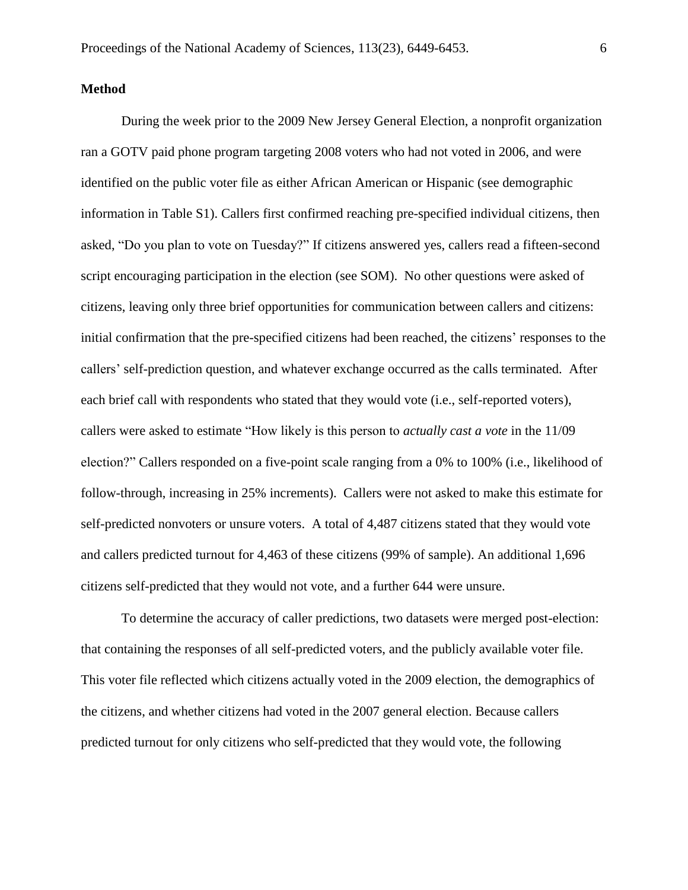#### **Method**

During the week prior to the 2009 New Jersey General Election, a nonprofit organization ran a GOTV paid phone program targeting 2008 voters who had not voted in 2006, and were identified on the public voter file as either African American or Hispanic (see demographic information in Table S1). Callers first confirmed reaching pre-specified individual citizens, then asked, "Do you plan to vote on Tuesday?" If citizens answered yes, callers read a fifteen-second script encouraging participation in the election (see SOM). No other questions were asked of citizens, leaving only three brief opportunities for communication between callers and citizens: initial confirmation that the pre-specified citizens had been reached, the citizens' responses to the callers' self-prediction question, and whatever exchange occurred as the calls terminated. After each brief call with respondents who stated that they would vote (i.e., self-reported voters), callers were asked to estimate "How likely is this person to *actually cast a vote* in the 11/09 election?" Callers responded on a five-point scale ranging from a 0% to 100% (i.e., likelihood of follow-through, increasing in 25% increments). Callers were not asked to make this estimate for self-predicted nonvoters or unsure voters. A total of 4,487 citizens stated that they would vote and callers predicted turnout for 4,463 of these citizens (99% of sample). An additional 1,696 citizens self-predicted that they would not vote, and a further 644 were unsure.

To determine the accuracy of caller predictions, two datasets were merged post-election: that containing the responses of all self-predicted voters, and the publicly available voter file. This voter file reflected which citizens actually voted in the 2009 election, the demographics of the citizens, and whether citizens had voted in the 2007 general election. Because callers predicted turnout for only citizens who self-predicted that they would vote, the following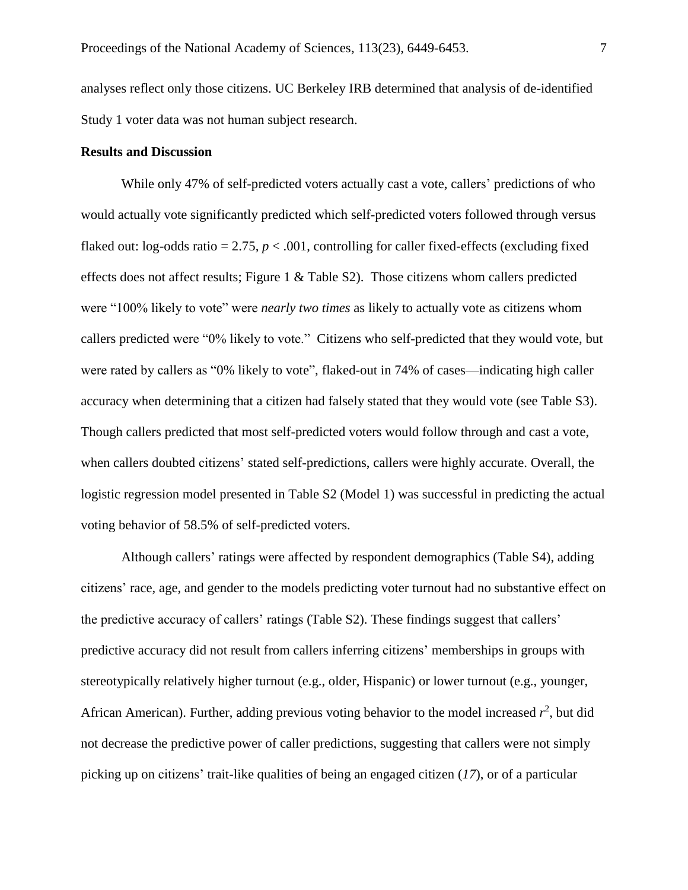analyses reflect only those citizens. UC Berkeley IRB determined that analysis of de-identified Study 1 voter data was not human subject research.

#### **Results and Discussion**

While only 47% of self-predicted voters actually cast a vote, callers' predictions of who would actually vote significantly predicted which self-predicted voters followed through versus flaked out: log-odds ratio  $= 2.75$ ,  $p < .001$ , controlling for caller fixed-effects (excluding fixed effects does not affect results; Figure 1 & Table S2). Those citizens whom callers predicted were "100% likely to vote" were *nearly two times* as likely to actually vote as citizens whom callers predicted were "0% likely to vote." Citizens who self-predicted that they would vote, but were rated by callers as "0% likely to vote", flaked-out in 74% of cases—indicating high caller accuracy when determining that a citizen had falsely stated that they would vote (see Table S3). Though callers predicted that most self-predicted voters would follow through and cast a vote, when callers doubted citizens' stated self-predictions, callers were highly accurate. Overall, the logistic regression model presented in Table S2 (Model 1) was successful in predicting the actual voting behavior of 58.5% of self-predicted voters.

Although callers' ratings were affected by respondent demographics (Table S4), adding citizens' race, age, and gender to the models predicting voter turnout had no substantive effect on the predictive accuracy of callers' ratings (Table S2). These findings suggest that callers' predictive accuracy did not result from callers inferring citizens' memberships in groups with stereotypically relatively higher turnout (e.g., older, Hispanic) or lower turnout (e.g., younger, African American). Further, adding previous voting behavior to the model increased  $r^2$ , but did not decrease the predictive power of caller predictions, suggesting that callers were not simply picking up on citizens' trait-like qualities of being an engaged citizen (*17*), or of a particular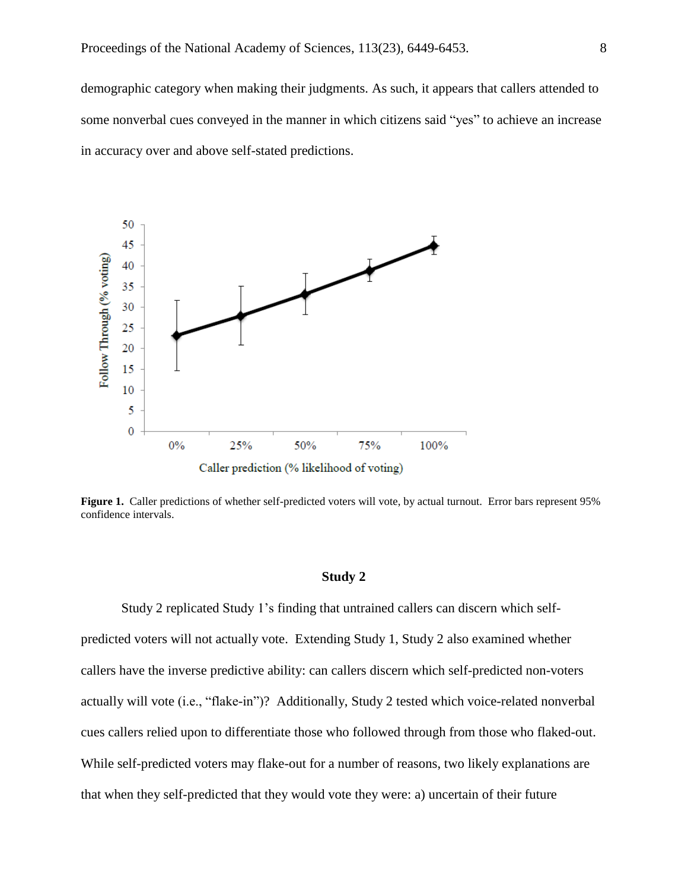demographic category when making their judgments. As such, it appears that callers attended to some nonverbal cues conveyed in the manner in which citizens said "yes" to achieve an increase in accuracy over and above self-stated predictions.



Figure 1. Caller predictions of whether self-predicted voters will vote, by actual turnout. Error bars represent 95% confidence intervals.

#### **Study 2**

Study 2 replicated Study 1's finding that untrained callers can discern which selfpredicted voters will not actually vote. Extending Study 1, Study 2 also examined whether callers have the inverse predictive ability: can callers discern which self-predicted non-voters actually will vote (i.e., "flake-in")? Additionally, Study 2 tested which voice-related nonverbal cues callers relied upon to differentiate those who followed through from those who flaked-out. While self-predicted voters may flake-out for a number of reasons, two likely explanations are that when they self-predicted that they would vote they were: a) uncertain of their future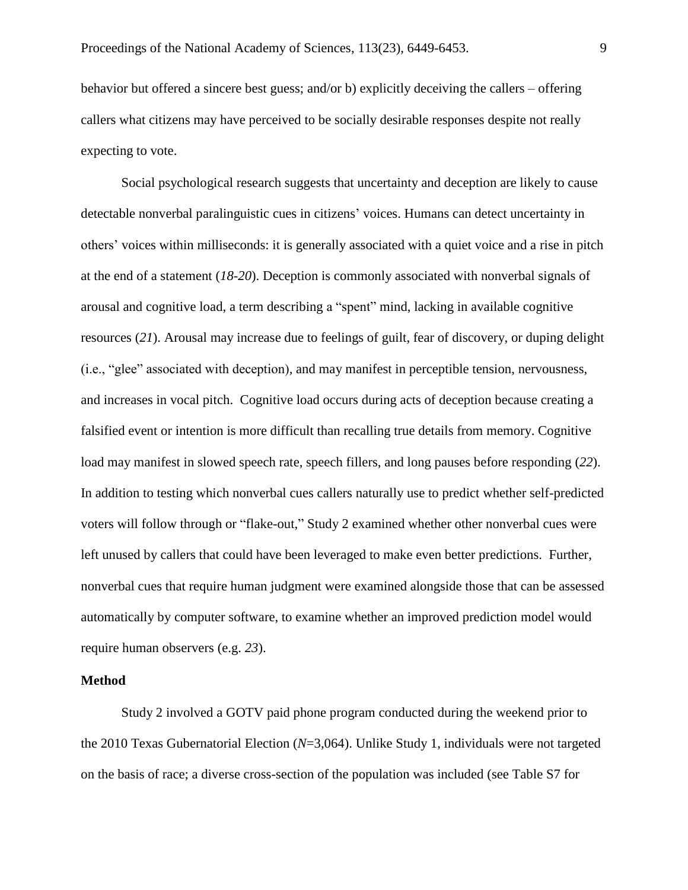behavior but offered a sincere best guess; and/or b) explicitly deceiving the callers – offering callers what citizens may have perceived to be socially desirable responses despite not really expecting to vote.

Social psychological research suggests that uncertainty and deception are likely to cause detectable nonverbal paralinguistic cues in citizens' voices. Humans can detect uncertainty in others' voices within milliseconds: it is generally associated with a quiet voice and a rise in pitch at the end of a statement (*18-20*). Deception is commonly associated with nonverbal signals of arousal and cognitive load, a term describing a "spent" mind, lacking in available cognitive resources (*21*). Arousal may increase due to feelings of guilt, fear of discovery, or duping delight (i.e., "glee" associated with deception), and may manifest in perceptible tension, nervousness, and increases in vocal pitch. Cognitive load occurs during acts of deception because creating a falsified event or intention is more difficult than recalling true details from memory. Cognitive load may manifest in slowed speech rate, speech fillers, and long pauses before responding (*22*). In addition to testing which nonverbal cues callers naturally use to predict whether self-predicted voters will follow through or "flake-out," Study 2 examined whether other nonverbal cues were left unused by callers that could have been leveraged to make even better predictions. Further, nonverbal cues that require human judgment were examined alongside those that can be assessed automatically by computer software, to examine whether an improved prediction model would require human observers (e.g. *23*).

## **Method**

Study 2 involved a GOTV paid phone program conducted during the weekend prior to the 2010 Texas Gubernatorial Election (*N*=3,064). Unlike Study 1, individuals were not targeted on the basis of race; a diverse cross-section of the population was included (see Table S7 for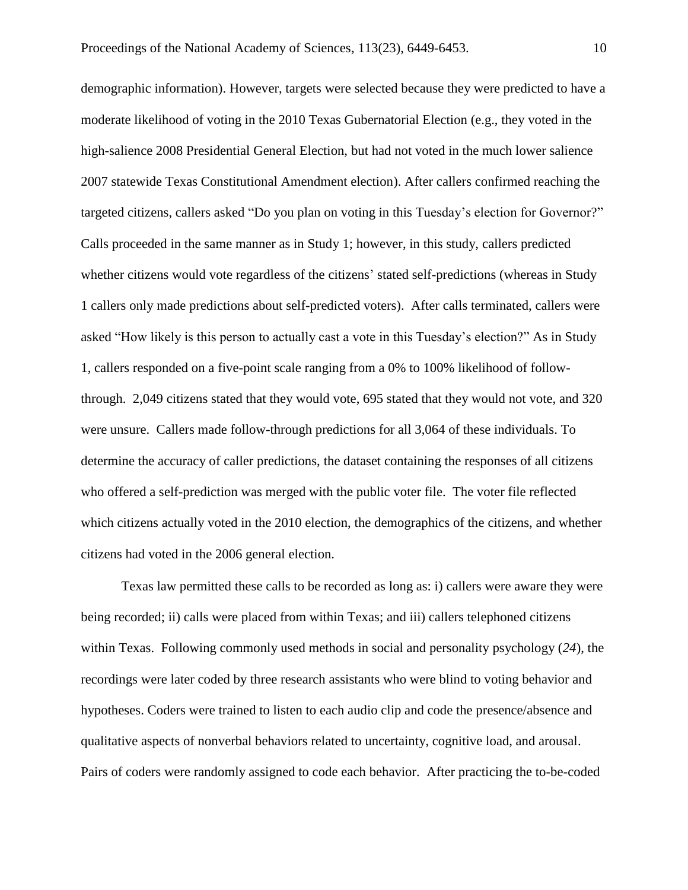demographic information). However, targets were selected because they were predicted to have a moderate likelihood of voting in the 2010 Texas Gubernatorial Election (e.g., they voted in the high-salience 2008 Presidential General Election, but had not voted in the much lower salience 2007 statewide Texas Constitutional Amendment election). After callers confirmed reaching the targeted citizens, callers asked "Do you plan on voting in this Tuesday's election for Governor?" Calls proceeded in the same manner as in Study 1; however, in this study, callers predicted whether citizens would vote regardless of the citizens' stated self-predictions (whereas in Study 1 callers only made predictions about self-predicted voters). After calls terminated, callers were asked "How likely is this person to actually cast a vote in this Tuesday's election?" As in Study 1, callers responded on a five-point scale ranging from a 0% to 100% likelihood of followthrough. 2,049 citizens stated that they would vote, 695 stated that they would not vote, and 320 were unsure. Callers made follow-through predictions for all 3,064 of these individuals. To determine the accuracy of caller predictions, the dataset containing the responses of all citizens who offered a self-prediction was merged with the public voter file. The voter file reflected which citizens actually voted in the 2010 election, the demographics of the citizens, and whether citizens had voted in the 2006 general election.

Texas law permitted these calls to be recorded as long as: i) callers were aware they were being recorded; ii) calls were placed from within Texas; and iii) callers telephoned citizens within Texas. Following commonly used methods in social and personality psychology (*24*), the recordings were later coded by three research assistants who were blind to voting behavior and hypotheses. Coders were trained to listen to each audio clip and code the presence/absence and qualitative aspects of nonverbal behaviors related to uncertainty, cognitive load, and arousal. Pairs of coders were randomly assigned to code each behavior. After practicing the to-be-coded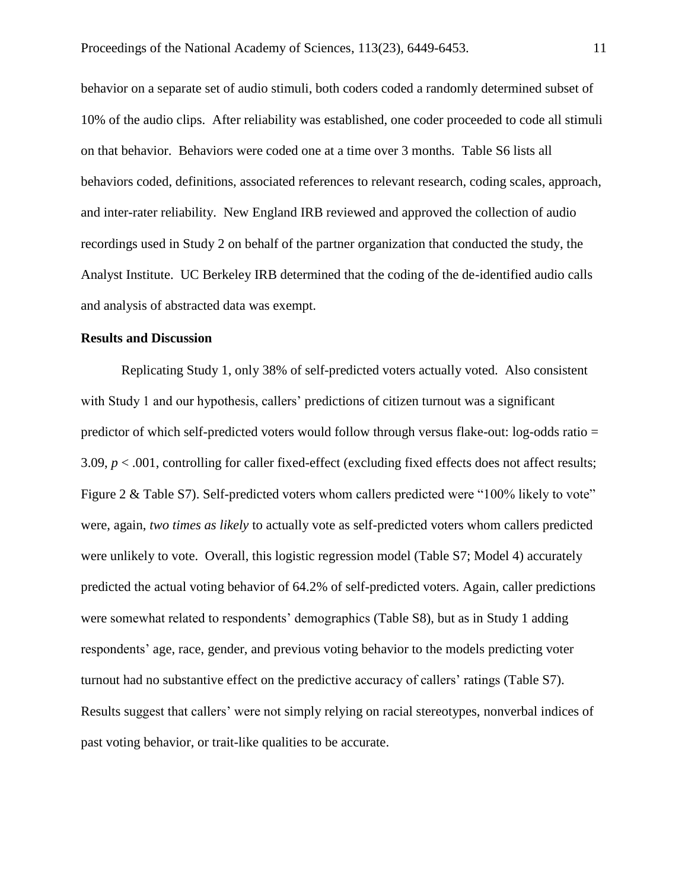behavior on a separate set of audio stimuli, both coders coded a randomly determined subset of 10% of the audio clips. After reliability was established, one coder proceeded to code all stimuli on that behavior. Behaviors were coded one at a time over 3 months. Table S6 lists all behaviors coded, definitions, associated references to relevant research, coding scales, approach, and inter-rater reliability. New England IRB reviewed and approved the collection of audio recordings used in Study 2 on behalf of the partner organization that conducted the study, the Analyst Institute. UC Berkeley IRB determined that the coding of the de-identified audio calls and analysis of abstracted data was exempt.

#### **Results and Discussion**

Replicating Study 1, only 38% of self-predicted voters actually voted. Also consistent with Study 1 and our hypothesis, callers' predictions of citizen turnout was a significant predictor of which self-predicted voters would follow through versus flake-out: log-odds ratio = 3.09,  $p < .001$ , controlling for caller fixed-effect (excluding fixed effects does not affect results; Figure 2 & Table S7). Self-predicted voters whom callers predicted were "100% likely to vote" were, again, *two times as likely* to actually vote as self-predicted voters whom callers predicted were unlikely to vote. Overall, this logistic regression model (Table S7; Model 4) accurately predicted the actual voting behavior of 64.2% of self-predicted voters. Again, caller predictions were somewhat related to respondents' demographics (Table S8), but as in Study 1 adding respondents' age, race, gender, and previous voting behavior to the models predicting voter turnout had no substantive effect on the predictive accuracy of callers' ratings (Table S7). Results suggest that callers' were not simply relying on racial stereotypes, nonverbal indices of past voting behavior, or trait-like qualities to be accurate.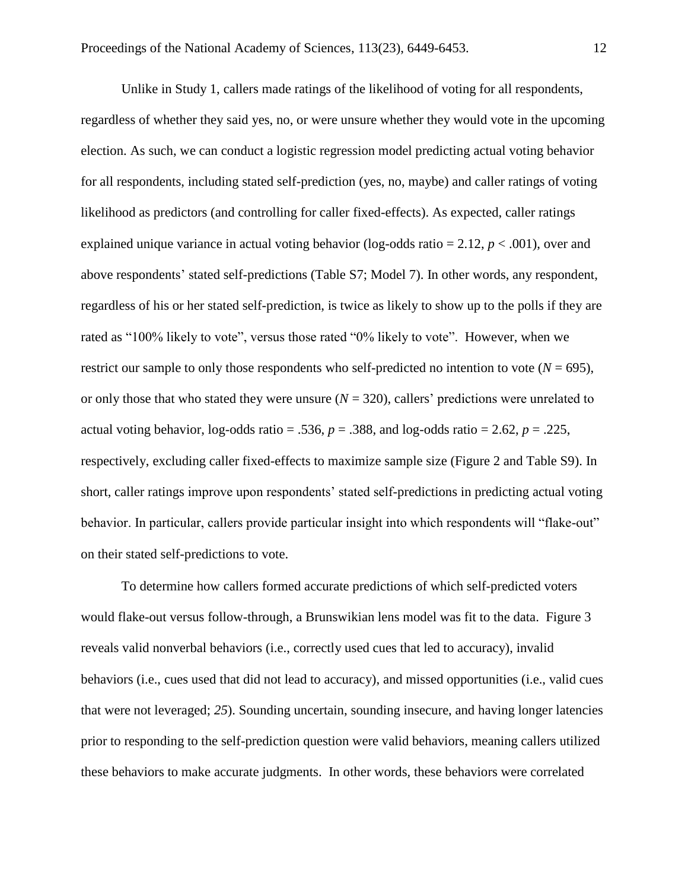Unlike in Study 1, callers made ratings of the likelihood of voting for all respondents, regardless of whether they said yes, no, or were unsure whether they would vote in the upcoming election. As such, we can conduct a logistic regression model predicting actual voting behavior for all respondents, including stated self-prediction (yes, no, maybe) and caller ratings of voting likelihood as predictors (and controlling for caller fixed-effects). As expected, caller ratings explained unique variance in actual voting behavior (log-odds ratio  $= 2.12$ ,  $p < .001$ ), over and above respondents' stated self-predictions (Table S7; Model 7). In other words, any respondent, regardless of his or her stated self-prediction, is twice as likely to show up to the polls if they are rated as "100% likely to vote", versus those rated "0% likely to vote". However, when we restrict our sample to only those respondents who self-predicted no intention to vote ( $N = 695$ ), or only those that who stated they were unsure  $(N = 320)$ , callers' predictions were unrelated to actual voting behavior,  $log-odds$  ratio = .536,  $p = .388$ , and  $log-odds$  ratio = 2.62,  $p = .225$ , respectively, excluding caller fixed-effects to maximize sample size (Figure 2 and Table S9). In short, caller ratings improve upon respondents' stated self-predictions in predicting actual voting behavior. In particular, callers provide particular insight into which respondents will "flake-out" on their stated self-predictions to vote.

To determine how callers formed accurate predictions of which self-predicted voters would flake-out versus follow-through, a Brunswikian lens model was fit to the data. Figure 3 reveals valid nonverbal behaviors (i.e., correctly used cues that led to accuracy), invalid behaviors (i.e., cues used that did not lead to accuracy), and missed opportunities (i.e., valid cues that were not leveraged; *25*). Sounding uncertain, sounding insecure, and having longer latencies prior to responding to the self-prediction question were valid behaviors, meaning callers utilized these behaviors to make accurate judgments. In other words, these behaviors were correlated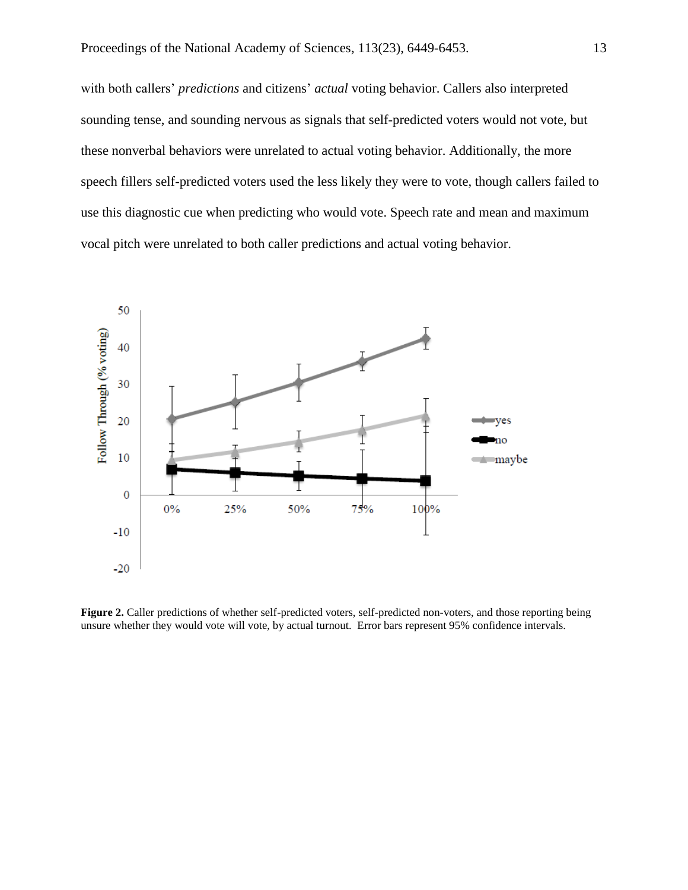with both callers' *predictions* and citizens' *actual* voting behavior. Callers also interpreted sounding tense, and sounding nervous as signals that self-predicted voters would not vote, but these nonverbal behaviors were unrelated to actual voting behavior. Additionally, the more speech fillers self-predicted voters used the less likely they were to vote, though callers failed to use this diagnostic cue when predicting who would vote. Speech rate and mean and maximum vocal pitch were unrelated to both caller predictions and actual voting behavior.



Figure 2. Caller predictions of whether self-predicted voters, self-predicted non-voters, and those reporting being unsure whether they would vote will vote, by actual turnout. Error bars represent 95% confidence intervals.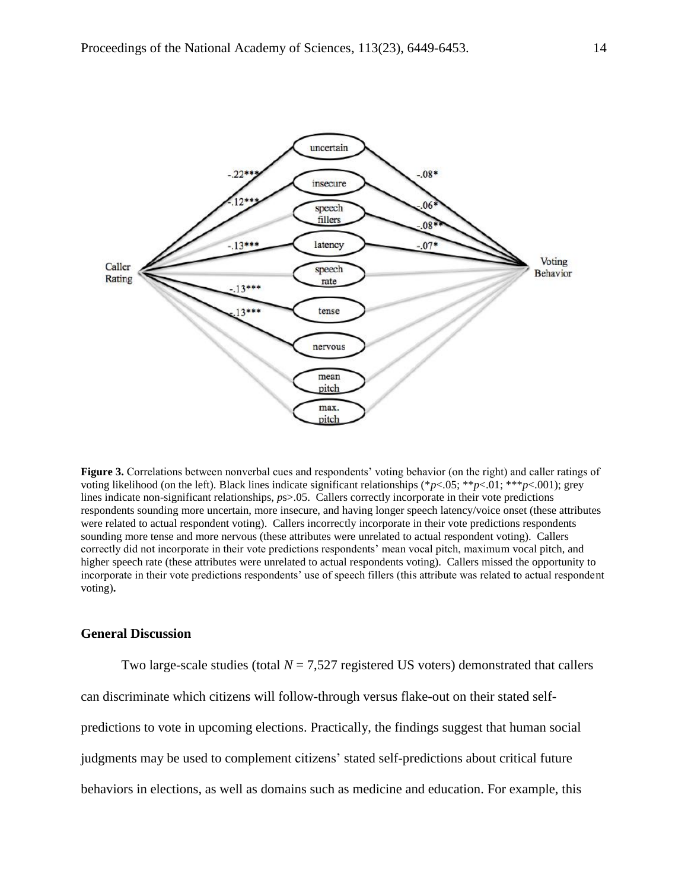

**Figure 3.** Correlations between nonverbal cues and respondents' voting behavior (on the right) and caller ratings of voting likelihood (on the left). Black lines indicate significant relationships (\**p*<.05; \*\**p*<.01; \*\*\**p*<.001); grey lines indicate non-significant relationships, *p*s>.05. Callers correctly incorporate in their vote predictions respondents sounding more uncertain, more insecure, and having longer speech latency/voice onset (these attributes were related to actual respondent voting). Callers incorrectly incorporate in their vote predictions respondents sounding more tense and more nervous (these attributes were unrelated to actual respondent voting). Callers correctly did not incorporate in their vote predictions respondents' mean vocal pitch, maximum vocal pitch, and higher speech rate (these attributes were unrelated to actual respondents voting). Callers missed the opportunity to incorporate in their vote predictions respondents' use of speech fillers (this attribute was related to actual respondent voting)**.**

### **General Discussion**

Two large-scale studies (total  $N = 7,527$  registered US voters) demonstrated that callers can discriminate which citizens will follow-through versus flake-out on their stated selfpredictions to vote in upcoming elections. Practically, the findings suggest that human social judgments may be used to complement citizens' stated self-predictions about critical future behaviors in elections, as well as domains such as medicine and education. For example, this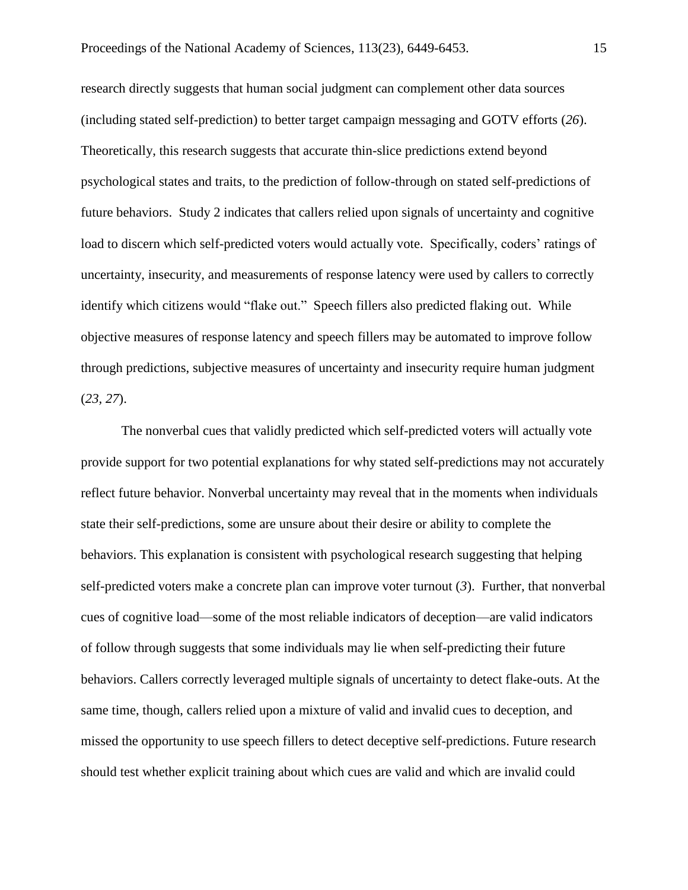research directly suggests that human social judgment can complement other data sources (including stated self-prediction) to better target campaign messaging and GOTV efforts (*26*). Theoretically, this research suggests that accurate thin-slice predictions extend beyond psychological states and traits, to the prediction of follow-through on stated self-predictions of future behaviors. Study 2 indicates that callers relied upon signals of uncertainty and cognitive load to discern which self-predicted voters would actually vote. Specifically, coders' ratings of uncertainty, insecurity, and measurements of response latency were used by callers to correctly identify which citizens would "flake out." Speech fillers also predicted flaking out. While objective measures of response latency and speech fillers may be automated to improve follow through predictions, subjective measures of uncertainty and insecurity require human judgment (*23, 27*).

The nonverbal cues that validly predicted which self-predicted voters will actually vote provide support for two potential explanations for why stated self-predictions may not accurately reflect future behavior. Nonverbal uncertainty may reveal that in the moments when individuals state their self-predictions, some are unsure about their desire or ability to complete the behaviors. This explanation is consistent with psychological research suggesting that helping self-predicted voters make a concrete plan can improve voter turnout (*3*). Further, that nonverbal cues of cognitive load—some of the most reliable indicators of deception—are valid indicators of follow through suggests that some individuals may lie when self-predicting their future behaviors. Callers correctly leveraged multiple signals of uncertainty to detect flake-outs. At the same time, though, callers relied upon a mixture of valid and invalid cues to deception, and missed the opportunity to use speech fillers to detect deceptive self-predictions. Future research should test whether explicit training about which cues are valid and which are invalid could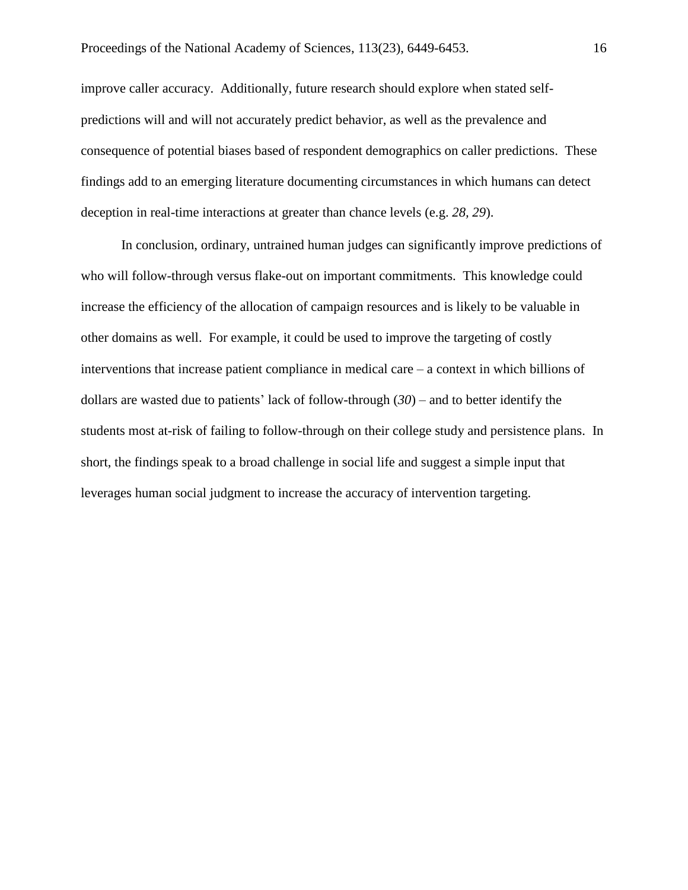improve caller accuracy. Additionally, future research should explore when stated selfpredictions will and will not accurately predict behavior, as well as the prevalence and consequence of potential biases based of respondent demographics on caller predictions. These findings add to an emerging literature documenting circumstances in which humans can detect deception in real-time interactions at greater than chance levels (e.g. *28, 29*).

In conclusion, ordinary, untrained human judges can significantly improve predictions of who will follow-through versus flake-out on important commitments. This knowledge could increase the efficiency of the allocation of campaign resources and is likely to be valuable in other domains as well. For example, it could be used to improve the targeting of costly interventions that increase patient compliance in medical care – a context in which billions of dollars are wasted due to patients' lack of follow-through (*30*) – and to better identify the students most at-risk of failing to follow-through on their college study and persistence plans. In short, the findings speak to a broad challenge in social life and suggest a simple input that leverages human social judgment to increase the accuracy of intervention targeting.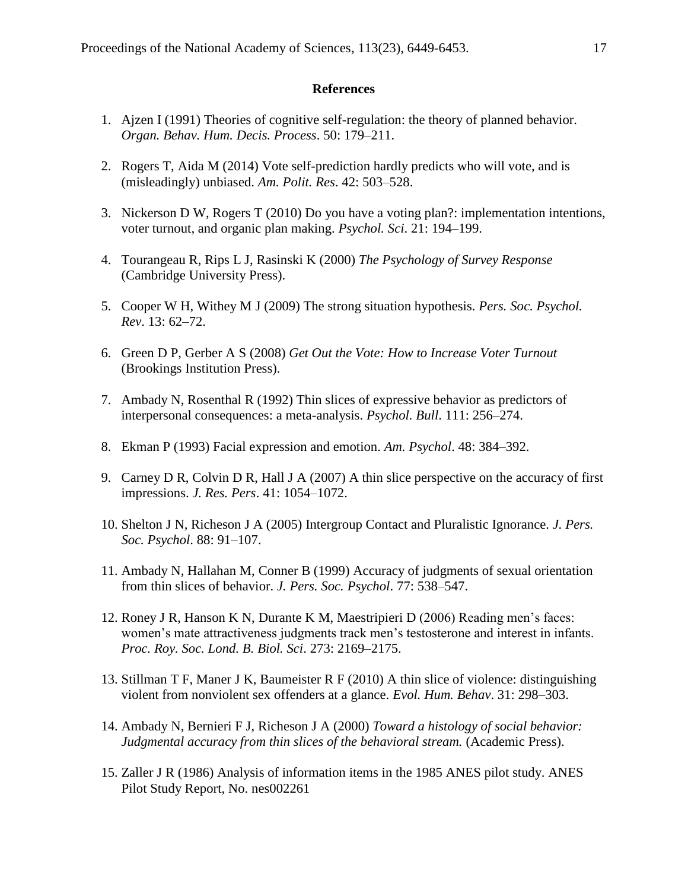### **References**

- 1. Ajzen I (1991) Theories of cognitive self-regulation: the theory of planned behavior. *Organ. Behav. Hum. Decis. Process*. 50: 179–211.
- 2. Rogers T, Aida M (2014) Vote self-prediction hardly predicts who will vote, and is (misleadingly) unbiased. *Am. Polit. Res*. 42: 503–528.
- 3. Nickerson D W, Rogers T (2010) Do you have a voting plan?: implementation intentions, voter turnout, and organic plan making. *Psychol. Sci*. 21: 194–199.
- 4. Tourangeau R, Rips L J, Rasinski K (2000) *The Psychology of Survey Response* (Cambridge University Press).
- 5. Cooper W H, Withey M J (2009) The strong situation hypothesis. *Pers. Soc. Psychol. Rev*. 13: 62–72.
- 6. Green D P, Gerber A S (2008) *Get Out the Vote: How to Increase Voter Turnout* (Brookings Institution Press).
- 7. Ambady N, Rosenthal R (1992) Thin slices of expressive behavior as predictors of interpersonal consequences: a meta-analysis. *Psychol. Bull*. 111: 256–274.
- 8. Ekman P (1993) Facial expression and emotion. *Am. Psychol*. 48: 384–392.
- 9. Carney D R, Colvin D R, Hall J A (2007) A thin slice perspective on the accuracy of first impressions. *J. Res. Pers*. 41: 1054–1072.
- 10. Shelton J N, Richeson J A (2005) Intergroup Contact and Pluralistic Ignorance. *J. Pers. Soc. Psychol*. 88: 91–107.
- 11. Ambady N, Hallahan M, Conner B (1999) Accuracy of judgments of sexual orientation from thin slices of behavior. *J. Pers. Soc. Psychol*. 77: 538–547.
- 12. Roney J R, Hanson K N, Durante K M, Maestripieri D (2006) Reading men's faces: women's mate attractiveness judgments track men's testosterone and interest in infants. *Proc. Roy. Soc. Lond. B. Biol. Sci*. 273: 2169–2175.
- 13. Stillman T F, Maner J K, Baumeister R F (2010) A thin slice of violence: distinguishing violent from nonviolent sex offenders at a glance. *Evol. Hum. Behav*. 31: 298–303.
- 14. Ambady N, Bernieri F J, Richeson J A (2000) *Toward a histology of social behavior: Judgmental accuracy from thin slices of the behavioral stream.* (Academic Press).
- 15. Zaller J R (1986) Analysis of information items in the 1985 ANES pilot study. ANES Pilot Study Report, No. nes002261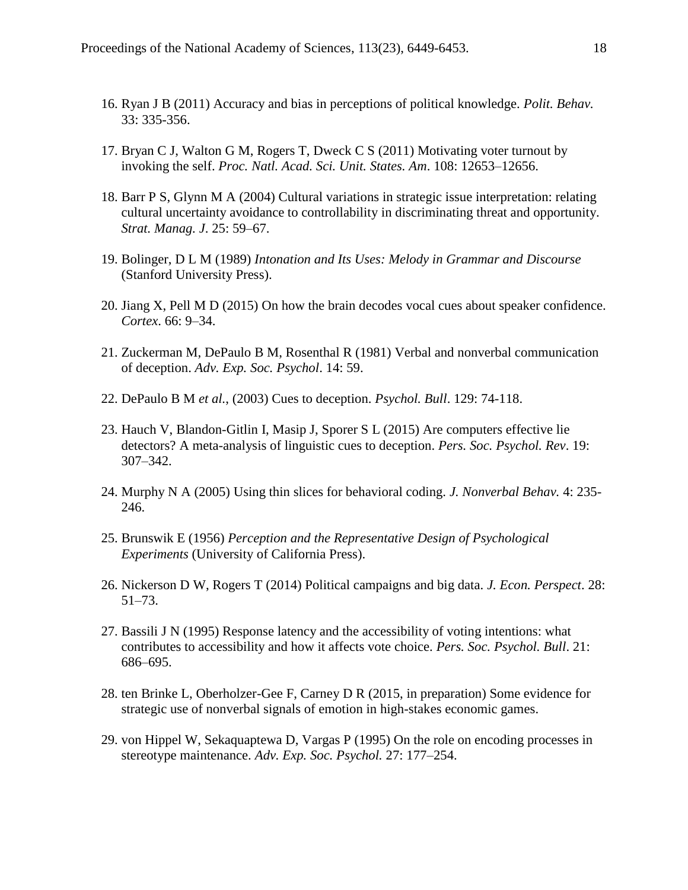- 16. Ryan J B (2011) Accuracy and bias in perceptions of political knowledge. *Polit. Behav.*  33: 335-356.
- 17. Bryan C J, Walton G M, Rogers T, Dweck C S (2011) Motivating voter turnout by invoking the self. *Proc. Natl. Acad. Sci. Unit. States. Am*. 108: 12653–12656.
- 18. Barr P S, Glynn M A (2004) Cultural variations in strategic issue interpretation: relating cultural uncertainty avoidance to controllability in discriminating threat and opportunity. *Strat. Manag. J*. 25: 59–67.
- 19. Bolinger, D L M (1989) *Intonation and Its Uses: Melody in Grammar and Discourse* (Stanford University Press).
- 20. Jiang X, Pell M D (2015) On how the brain decodes vocal cues about speaker confidence. *Cortex*. 66: 9–34.
- 21. Zuckerman M, DePaulo B M, Rosenthal R (1981) Verbal and nonverbal communication of deception. *Adv. Exp. Soc. Psychol*. 14: 59.
- 22. DePaulo B M *et al.*, (2003) Cues to deception. *Psychol. Bull*. 129: 74-118.
- 23. Hauch V, Blandon-Gitlin I, Masip J, Sporer S L (2015) Are computers effective lie detectors? A meta-analysis of linguistic cues to deception. *Pers. Soc. Psychol. Rev*. 19: 307–342.
- 24. Murphy N A (2005) Using thin slices for behavioral coding. *J. Nonverbal Behav.* 4: 235- 246.
- 25. Brunswik E (1956) *Perception and the Representative Design of Psychological Experiments* (University of California Press).
- 26. Nickerson D W, Rogers T (2014) Political campaigns and big data. *J. Econ. Perspect*. 28: 51–73.
- 27. Bassili J N (1995) Response latency and the accessibility of voting intentions: what contributes to accessibility and how it affects vote choice. *Pers. Soc. Psychol. Bull*. 21: 686–695.
- 28. ten Brinke L, Oberholzer-Gee F, Carney D R (2015, in preparation) Some evidence for strategic use of nonverbal signals of emotion in high-stakes economic games.
- 29. von Hippel W, Sekaquaptewa D, Vargas P (1995) On the role on encoding processes in stereotype maintenance. *Adv. Exp. Soc. Psychol.* 27: 177–254.